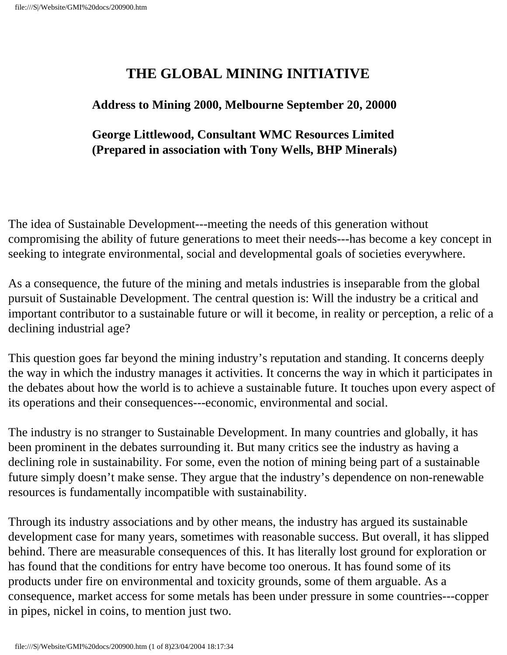## **THE GLOBAL MINING INITIATIVE**

## **Address to Mining 2000, Melbourne September 20, 20000**

## **George Littlewood, Consultant WMC Resources Limited (Prepared in association with Tony Wells, BHP Minerals)**

The idea of Sustainable Development---meeting the needs of this generation without compromising the ability of future generations to meet their needs---has become a key concept in seeking to integrate environmental, social and developmental goals of societies everywhere.

As a consequence, the future of the mining and metals industries is inseparable from the global pursuit of Sustainable Development. The central question is: Will the industry be a critical and important contributor to a sustainable future or will it become, in reality or perception, a relic of a declining industrial age?

This question goes far beyond the mining industry's reputation and standing. It concerns deeply the way in which the industry manages it activities. It concerns the way in which it participates in the debates about how the world is to achieve a sustainable future. It touches upon every aspect of its operations and their consequences---economic, environmental and social.

The industry is no stranger to Sustainable Development. In many countries and globally, it has been prominent in the debates surrounding it. But many critics see the industry as having a declining role in sustainability. For some, even the notion of mining being part of a sustainable future simply doesn't make sense. They argue that the industry's dependence on non-renewable resources is fundamentally incompatible with sustainability.

Through its industry associations and by other means, the industry has argued its sustainable development case for many years, sometimes with reasonable success. But overall, it has slipped behind. There are measurable consequences of this. It has literally lost ground for exploration or has found that the conditions for entry have become too onerous. It has found some of its products under fire on environmental and toxicity grounds, some of them arguable. As a consequence, market access for some metals has been under pressure in some countries---copper in pipes, nickel in coins, to mention just two.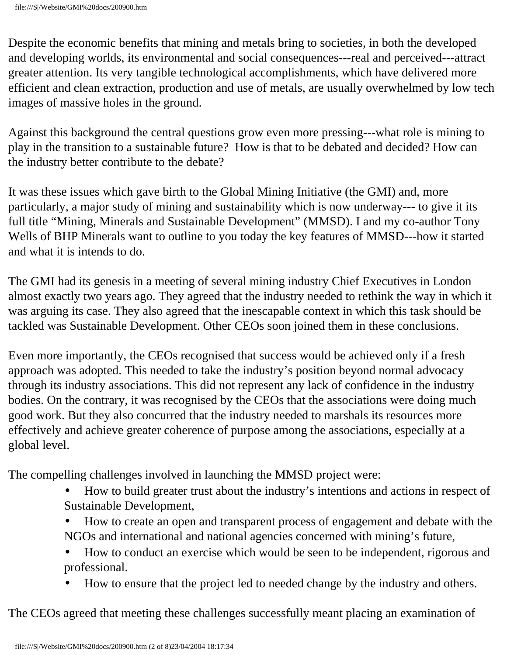Despite the economic benefits that mining and metals bring to societies, in both the developed and developing worlds, its environmental and social consequences---real and perceived---attract greater attention. Its very tangible technological accomplishments, which have delivered more efficient and clean extraction, production and use of metals, are usually overwhelmed by low tech images of massive holes in the ground.

Against this background the central questions grow even more pressing---what role is mining to play in the transition to a sustainable future? How is that to be debated and decided? How can the industry better contribute to the debate?

It was these issues which gave birth to the Global Mining Initiative (the GMI) and, more particularly, a major study of mining and sustainability which is now underway--- to give it its full title "Mining, Minerals and Sustainable Development" (MMSD). I and my co-author Tony Wells of BHP Minerals want to outline to you today the key features of MMSD---how it started and what it is intends to do.

The GMI had its genesis in a meeting of several mining industry Chief Executives in London almost exactly two years ago. They agreed that the industry needed to rethink the way in which it was arguing its case. They also agreed that the inescapable context in which this task should be tackled was Sustainable Development. Other CEOs soon joined them in these conclusions.

Even more importantly, the CEOs recognised that success would be achieved only if a fresh approach was adopted. This needed to take the industry's position beyond normal advocacy through its industry associations. This did not represent any lack of confidence in the industry bodies. On the contrary, it was recognised by the CEOs that the associations were doing much good work. But they also concurred that the industry needed to marshals its resources more effectively and achieve greater coherence of purpose among the associations, especially at a global level.

The compelling challenges involved in launching the MMSD project were:

- How to build greater trust about the industry's intentions and actions in respect of Sustainable Development,
- How to create an open and transparent process of engagement and debate with the NGOs and international and national agencies concerned with mining's future,
- How to conduct an exercise which would be seen to be independent, rigorous and professional.
- How to ensure that the project led to needed change by the industry and others.

The CEOs agreed that meeting these challenges successfully meant placing an examination of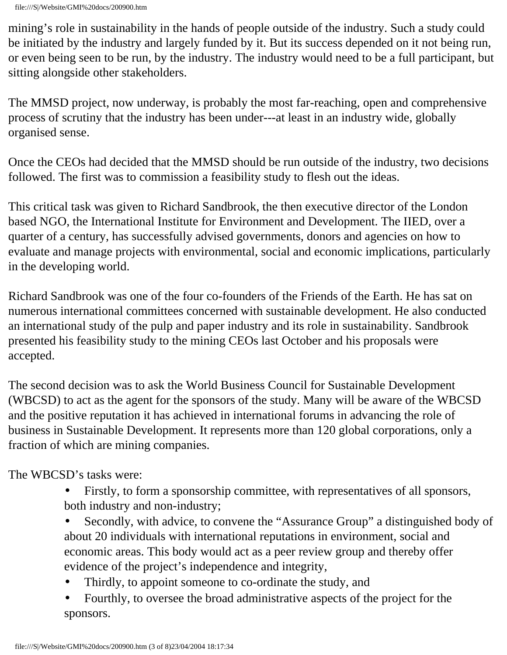mining's role in sustainability in the hands of people outside of the industry. Such a study could be initiated by the industry and largely funded by it. But its success depended on it not being run, or even being seen to be run, by the industry. The industry would need to be a full participant, but sitting alongside other stakeholders.

The MMSD project, now underway, is probably the most far-reaching, open and comprehensive process of scrutiny that the industry has been under---at least in an industry wide, globally organised sense.

Once the CEOs had decided that the MMSD should be run outside of the industry, two decisions followed. The first was to commission a feasibility study to flesh out the ideas.

This critical task was given to Richard Sandbrook, the then executive director of the London based NGO, the International Institute for Environment and Development. The IIED, over a quarter of a century, has successfully advised governments, donors and agencies on how to evaluate and manage projects with environmental, social and economic implications, particularly in the developing world.

Richard Sandbrook was one of the four co-founders of the Friends of the Earth. He has sat on numerous international committees concerned with sustainable development. He also conducted an international study of the pulp and paper industry and its role in sustainability. Sandbrook presented his feasibility study to the mining CEOs last October and his proposals were accepted.

The second decision was to ask the World Business Council for Sustainable Development (WBCSD) to act as the agent for the sponsors of the study. Many will be aware of the WBCSD and the positive reputation it has achieved in international forums in advancing the role of business in Sustainable Development. It represents more than 120 global corporations, only a fraction of which are mining companies.

The WBCSD's tasks were:

- Firstly, to form a sponsorship committee, with representatives of all sponsors, both industry and non-industry;
- Secondly, with advice, to convene the "Assurance Group" a distinguished body of about 20 individuals with international reputations in environment, social and economic areas. This body would act as a peer review group and thereby offer evidence of the project's independence and integrity,
- Thirdly, to appoint someone to co-ordinate the study, and
- Fourthly, to oversee the broad administrative aspects of the project for the sponsors.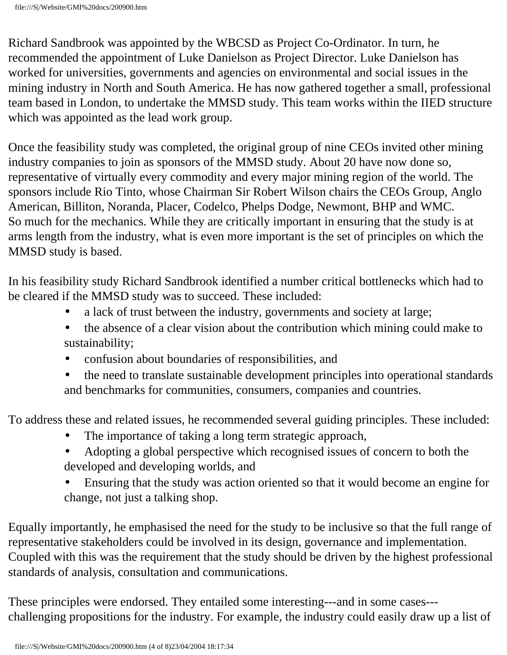file:///S|/Website/GMI%20docs/200900.htm

Richard Sandbrook was appointed by the WBCSD as Project Co-Ordinator. In turn, he recommended the appointment of Luke Danielson as Project Director. Luke Danielson has worked for universities, governments and agencies on environmental and social issues in the mining industry in North and South America. He has now gathered together a small, professional team based in London, to undertake the MMSD study. This team works within the IIED structure which was appointed as the lead work group.

Once the feasibility study was completed, the original group of nine CEOs invited other mining industry companies to join as sponsors of the MMSD study. About 20 have now done so, representative of virtually every commodity and every major mining region of the world. The sponsors include Rio Tinto, whose Chairman Sir Robert Wilson chairs the CEOs Group, Anglo American, Billiton, Noranda, Placer, Codelco, Phelps Dodge, Newmont, BHP and WMC. So much for the mechanics. While they are critically important in ensuring that the study is at arms length from the industry, what is even more important is the set of principles on which the MMSD study is based.

In his feasibility study Richard Sandbrook identified a number critical bottlenecks which had to be cleared if the MMSD study was to succeed. These included:

- a lack of trust between the industry, governments and society at large;
- the absence of a clear vision about the contribution which mining could make to sustainability;
- confusion about boundaries of responsibilities, and
- the need to translate sustainable development principles into operational standards and benchmarks for communities, consumers, companies and countries.

To address these and related issues, he recommended several guiding principles. These included:

- The importance of taking a long term strategic approach,
- Adopting a global perspective which recognised issues of concern to both the developed and developing worlds, and
- Ensuring that the study was action oriented so that it would become an engine for change, not just a talking shop.

Equally importantly, he emphasised the need for the study to be inclusive so that the full range of representative stakeholders could be involved in its design, governance and implementation. Coupled with this was the requirement that the study should be driven by the highest professional standards of analysis, consultation and communications.

These principles were endorsed. They entailed some interesting---and in some cases-- challenging propositions for the industry. For example, the industry could easily draw up a list of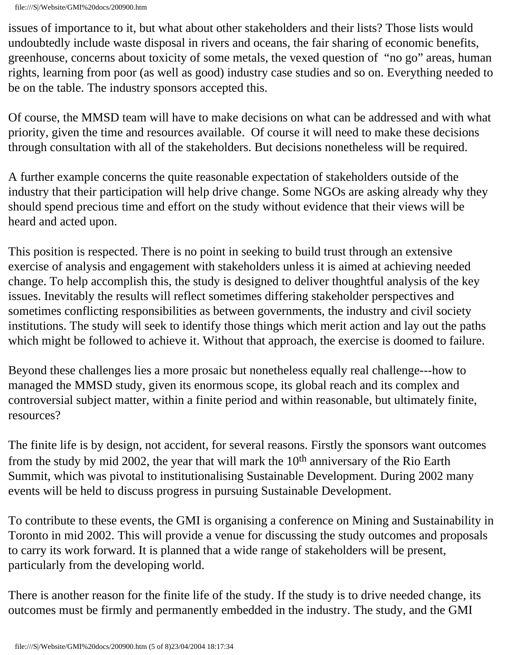issues of importance to it, but what about other stakeholders and their lists? Those lists would undoubtedly include waste disposal in rivers and oceans, the fair sharing of economic benefits, greenhouse, concerns about toxicity of some metals, the vexed question of "no go" areas, human rights, learning from poor (as well as good) industry case studies and so on. Everything needed to be on the table. The industry sponsors accepted this.

Of course, the MMSD team will have to make decisions on what can be addressed and with what priority, given the time and resources available. Of course it will need to make these decisions through consultation with all of the stakeholders. But decisions nonetheless will be required.

A further example concerns the quite reasonable expectation of stakeholders outside of the industry that their participation will help drive change. Some NGOs are asking already why they should spend precious time and effort on the study without evidence that their views will be heard and acted upon.

This position is respected. There is no point in seeking to build trust through an extensive exercise of analysis and engagement with stakeholders unless it is aimed at achieving needed change. To help accomplish this, the study is designed to deliver thoughtful analysis of the key issues. Inevitably the results will reflect sometimes differing stakeholder perspectives and sometimes conflicting responsibilities as between governments, the industry and civil society institutions. The study will seek to identify those things which merit action and lay out the paths which might be followed to achieve it. Without that approach, the exercise is doomed to failure.

Beyond these challenges lies a more prosaic but nonetheless equally real challenge---how to managed the MMSD study, given its enormous scope, its global reach and its complex and controversial subject matter, within a finite period and within reasonable, but ultimately finite, resources?

The finite life is by design, not accident, for several reasons. Firstly the sponsors want outcomes from the study by mid 2002, the year that will mark the 10<sup>th</sup> anniversary of the Rio Earth Summit, which was pivotal to institutionalising Sustainable Development. During 2002 many events will be held to discuss progress in pursuing Sustainable Development.

To contribute to these events, the GMI is organising a conference on Mining and Sustainability in Toronto in mid 2002. This will provide a venue for discussing the study outcomes and proposals to carry its work forward. It is planned that a wide range of stakeholders will be present, particularly from the developing world.

There is another reason for the finite life of the study. If the study is to drive needed change, its outcomes must be firmly and permanently embedded in the industry. The study, and the GMI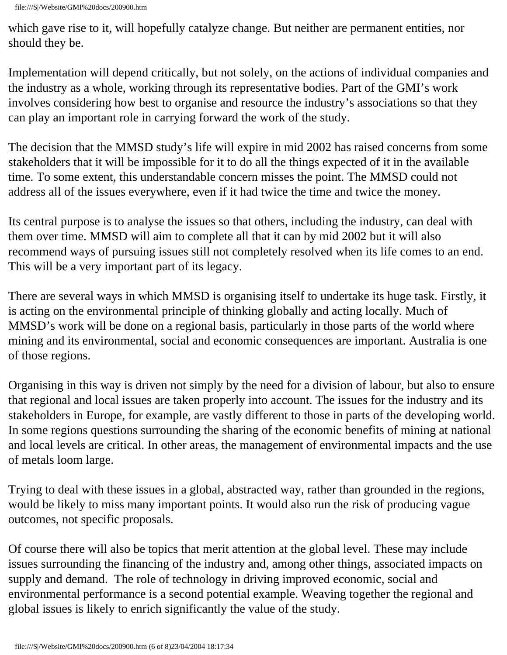which gave rise to it, will hopefully catalyze change. But neither are permanent entities, nor should they be.

Implementation will depend critically, but not solely, on the actions of individual companies and the industry as a whole, working through its representative bodies. Part of the GMI's work involves considering how best to organise and resource the industry's associations so that they can play an important role in carrying forward the work of the study.

The decision that the MMSD study's life will expire in mid 2002 has raised concerns from some stakeholders that it will be impossible for it to do all the things expected of it in the available time. To some extent, this understandable concern misses the point. The MMSD could not address all of the issues everywhere, even if it had twice the time and twice the money.

Its central purpose is to analyse the issues so that others, including the industry, can deal with them over time. MMSD will aim to complete all that it can by mid 2002 but it will also recommend ways of pursuing issues still not completely resolved when its life comes to an end. This will be a very important part of its legacy.

There are several ways in which MMSD is organising itself to undertake its huge task. Firstly, it is acting on the environmental principle of thinking globally and acting locally. Much of MMSD's work will be done on a regional basis, particularly in those parts of the world where mining and its environmental, social and economic consequences are important. Australia is one of those regions.

Organising in this way is driven not simply by the need for a division of labour, but also to ensure that regional and local issues are taken properly into account. The issues for the industry and its stakeholders in Europe, for example, are vastly different to those in parts of the developing world. In some regions questions surrounding the sharing of the economic benefits of mining at national and local levels are critical. In other areas, the management of environmental impacts and the use of metals loom large.

Trying to deal with these issues in a global, abstracted way, rather than grounded in the regions, would be likely to miss many important points. It would also run the risk of producing vague outcomes, not specific proposals.

Of course there will also be topics that merit attention at the global level. These may include issues surrounding the financing of the industry and, among other things, associated impacts on supply and demand. The role of technology in driving improved economic, social and environmental performance is a second potential example. Weaving together the regional and global issues is likely to enrich significantly the value of the study.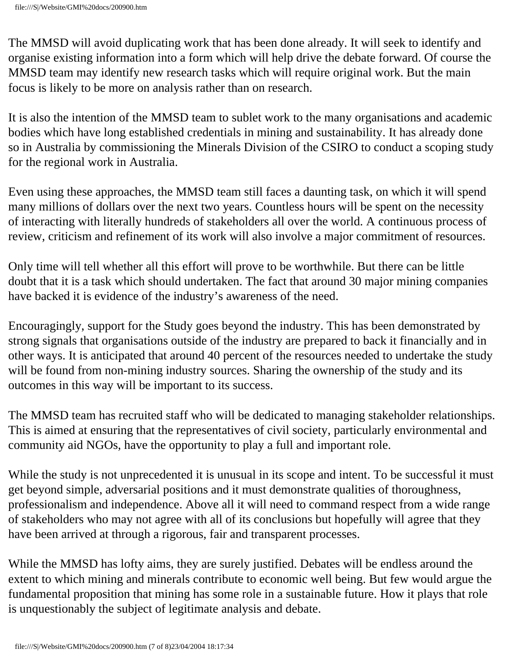The MMSD will avoid duplicating work that has been done already. It will seek to identify and organise existing information into a form which will help drive the debate forward. Of course the MMSD team may identify new research tasks which will require original work. But the main focus is likely to be more on analysis rather than on research.

It is also the intention of the MMSD team to sublet work to the many organisations and academic bodies which have long established credentials in mining and sustainability. It has already done so in Australia by commissioning the Minerals Division of the CSIRO to conduct a scoping study for the regional work in Australia.

Even using these approaches, the MMSD team still faces a daunting task, on which it will spend many millions of dollars over the next two years. Countless hours will be spent on the necessity of interacting with literally hundreds of stakeholders all over the world. A continuous process of review, criticism and refinement of its work will also involve a major commitment of resources.

Only time will tell whether all this effort will prove to be worthwhile. But there can be little doubt that it is a task which should undertaken. The fact that around 30 major mining companies have backed it is evidence of the industry's awareness of the need.

Encouragingly, support for the Study goes beyond the industry. This has been demonstrated by strong signals that organisations outside of the industry are prepared to back it financially and in other ways. It is anticipated that around 40 percent of the resources needed to undertake the study will be found from non-mining industry sources. Sharing the ownership of the study and its outcomes in this way will be important to its success.

The MMSD team has recruited staff who will be dedicated to managing stakeholder relationships. This is aimed at ensuring that the representatives of civil society, particularly environmental and community aid NGOs, have the opportunity to play a full and important role.

While the study is not unprecedented it is unusual in its scope and intent. To be successful it must get beyond simple, adversarial positions and it must demonstrate qualities of thoroughness, professionalism and independence. Above all it will need to command respect from a wide range of stakeholders who may not agree with all of its conclusions but hopefully will agree that they have been arrived at through a rigorous, fair and transparent processes.

While the MMSD has lofty aims, they are surely justified. Debates will be endless around the extent to which mining and minerals contribute to economic well being. But few would argue the fundamental proposition that mining has some role in a sustainable future. How it plays that role is unquestionably the subject of legitimate analysis and debate.